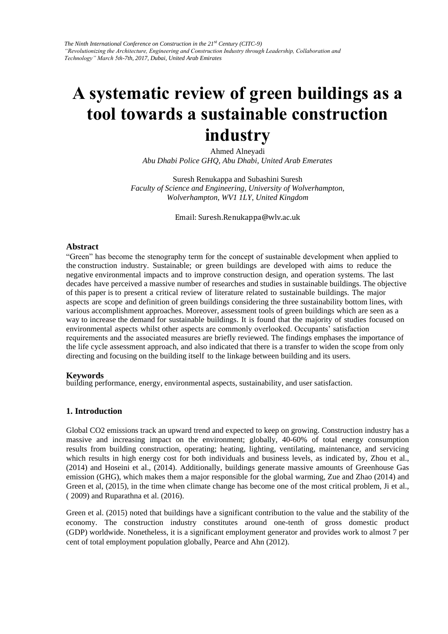# **A systematic review of green buildings as a tool towards a sustainable construction industry**

Ahmed Alneyadi *Abu Dhabi Police GHQ, Abu Dhabi, United Arab Emerates* 

Suresh Renukappa and Subashini Suresh *Faculty of Science and Engineering, University of Wolverhampton, Wolverhampton, WV1 1LY, United Kingdom* 

Email: Suresh.Renukappa@wlv.ac.uk

#### **Abstract**

"Green" has become the stenography term for the concept of sustainable development when applied to the construction industry. Sustainable; or green buildings are developed with aims to reduce the negative environmental impacts and to improve construction design, and operation systems. The last decades have perceived a massive number of researches and studies in sustainable buildings. The objective of this paper is to present a critical review of literature related to sustainable buildings. The major aspects are scope and definition of green buildings considering the three sustainability bottom lines, with various accomplishment approaches. Moreover, assessment tools of green buildings which are seen as a way to increase the demand for sustainable buildings. It is found that the majority of studies focused on environmental aspects whilst other aspects are commonly overlooked. Occupants' satisfaction requirements and the associated measures are briefly reviewed. The findings emphases the importance of the life cycle assessment approach, and also indicated that there is a transfer to widen the scope from only directing and focusing on the building itself to the linkage between building and its users.

#### **Keywords**

building performance, energy, environmental aspects, sustainability, and user satisfaction.

#### **1. Introduction**

Global CO2 emissions track an upward trend and expected to keep on growing. Construction industry has a massive and increasing impact on the environment; globally, 40-60% of total energy consumption results from building construction, operating; heating, lighting, ventilating, maintenance, and servicing which results in high energy cost for both individuals and business levels, as indicated by, Zhou et al., (2014) and Hoseini et al., (2014). Additionally, buildings generate massive amounts of Greenhouse Gas emission (GHG), which makes them a major responsible for the global warming, Zue and Zhao (2014) and Green et al, (2015), in the time when climate change has become one of the most critical problem, Ji et al., ( 2009) and Ruparathna et al. (2016).

Green et al. (2015) noted that buildings have a significant contribution to the value and the stability of the economy. The construction industry constitutes around one-tenth of gross domestic product (GDP) worldwide. Nonetheless, it is a significant employment generator and provides work to almost 7 per cent of total employment population globally, Pearce and Ahn (2012).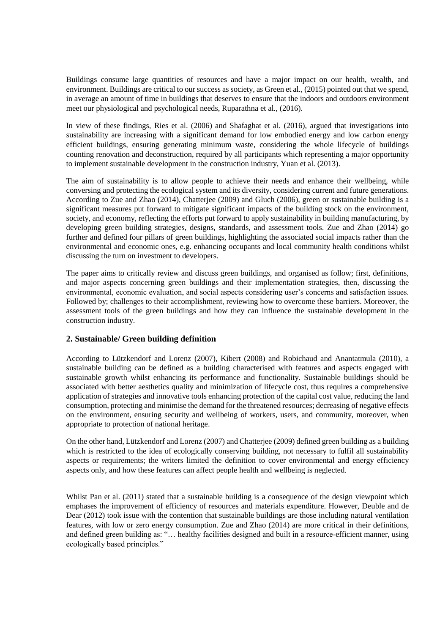Buildings consume large quantities of resources and have a major impact on our health, wealth, and environment. Buildings are critical to our success as society, as Green et al., (2015) pointed out that we spend, in average an amount of time in buildings that deserves to ensure that the indoors and outdoors environment meet our physiological and psychological needs, Ruparathna et al., (2016).

In view of these findings, Ries et al. (2006) and Shafaghat et al. (2016), argued that investigations into sustainability are increasing with a significant demand for low embodied energy and low carbon energy efficient buildings, ensuring generating minimum waste, considering the whole lifecycle of buildings counting renovation and deconstruction, required by all participants which representing a major opportunity to implement sustainable development in the construction industry, Yuan et al. (2013).

The aim of sustainability is to allow people to achieve their needs and enhance their wellbeing, while conversing and protecting the ecological system and its diversity, considering current and future generations. According to Zue and Zhao (2014), Chatterjee (2009) and Gluch (2006), green or sustainable building is a significant measures put forward to mitigate significant impacts of the building stock on the environment, society, and economy, reflecting the efforts put forward to apply sustainability in building manufacturing, by developing green building strategies, designs, standards, and assessment tools. Zue and Zhao (2014) go further and defined four pillars of green buildings, highlighting the associated social impacts rather than the environmental and economic ones, e.g. enhancing occupants and local community health conditions whilst discussing the turn on investment to developers.

The paper aims to critically review and discuss green buildings, and organised as follow; first, definitions, and major aspects concerning green buildings and their implementation strategies, then, discussing the environmental, economic evaluation, and social aspects considering user's concerns and satisfaction issues. Followed by; challenges to their accomplishment, reviewing how to overcome these barriers. Moreover, the assessment tools of the green buildings and how they can influence the sustainable development in the construction industry.

#### **2. Sustainable/ Green building definition**

According to Lützkendorf and Lorenz (2007), Kibert (2008) and Robichaud and Anantatmula (2010), a sustainable building can be defined as a building characterised with features and aspects engaged with sustainable growth whilst enhancing its performance and functionality. Sustainable buildings should be associated with better aesthetics quality and minimization of lifecycle cost, thus requires a comprehensive application of strategies and innovative tools enhancing protection of the capital cost value, reducing the land consumption, protecting and minimise the demand for the threatened resources; decreasing of negative effects on the environment, ensuring security and wellbeing of workers, users, and community, moreover, when appropriate to protection of national heritage.

On the other hand, Lützkendorf and Lorenz (2007) and Chatterjee (2009) defined green building as a building which is restricted to the idea of ecologically conserving building, not necessary to fulfil all sustainability aspects or requirements; the writers limited the definition to cover environmental and energy efficiency aspects only, and how these features can affect people health and wellbeing is neglected.

Whilst Pan et al. (2011) stated that a sustainable building is a consequence of the design viewpoint which emphases the improvement of efficiency of resources and materials expenditure. However, Deuble and de Dear (2012) took issue with the contention that sustainable buildings are those including natural ventilation features, with low or zero energy consumption. Zue and Zhao (2014) are more critical in their definitions, and defined green building as: "… healthy facilities designed and built in a resource-efficient manner, using ecologically based principles."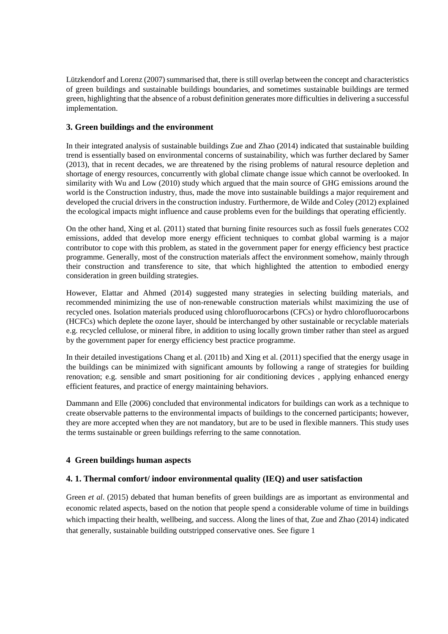Lützkendorf and Lorenz (2007) summarised that, there is still overlap between the concept and characteristics of green buildings and sustainable buildings boundaries, and sometimes sustainable buildings are termed green, highlighting that the absence of a robust definition generates more difficulties in delivering a successful implementation.

# **3. Green buildings and the environment**

In their integrated analysis of sustainable buildings Zue and Zhao (2014) indicated that sustainable building trend is essentially based on environmental concerns of sustainability, which was further declared by Samer (2013), that in recent decades, we are threatened by the rising problems of natural resource depletion and shortage of energy resources, concurrently with global climate change issue which cannot be overlooked. In similarity with Wu and Low (2010) study which argued that the main source of GHG emissions around the world is the Construction industry, thus, made the move into sustainable buildings a major requirement and developed the crucial drivers in the construction industry. Furthermore, de Wilde and Coley (2012) explained the ecological impacts might influence and cause problems even for the buildings that operating efficiently.

On the other hand, Xing et al. (2011) stated that burning finite resources such as fossil fuels generates CO2 emissions, added that develop more energy efficient techniques to combat global warming is a major contributor to cope with this problem, as stated in the government paper for energy efficiency best practice programme. Generally, most of the construction materials affect the environment somehow, mainly through their construction and transference to site, that which highlighted the attention to embodied energy consideration in green building strategies.

However, Elattar and Ahmed (2014) suggested many strategies in selecting building materials, and recommended minimizing the use of non-renewable construction materials whilst maximizing the use of recycled ones. Isolation materials produced using chlorofluorocarbons (CFCs) or hydro chlorofluorocarbons (HCFCs) which deplete the ozone layer, should be interchanged by other sustainable or recyclable materials e.g. recycled cellulose, or mineral fibre, in addition to using locally grown timber rather than steel as argued by the government paper for energy efficiency best practice programme.

In their detailed investigations Chang et al. (2011b) and Xing et al. (2011) specified that the energy usage in the buildings can be minimized with significant amounts by following a range of strategies for building renovation; e.g. sensible and smart positioning for air conditioning devices , applying enhanced energy efficient features, and practice of energy maintaining behaviors.

Dammann and Elle (2006) concluded that environmental indicators for buildings can work as a technique to create observable patterns to the environmental impacts of buildings to the concerned participants; however, they are more accepted when they are not mandatory, but are to be used in flexible manners. This study uses the terms sustainable or green buildings referring to the same connotation.

# **4 Green buildings human aspects**

# **4. 1. Thermal comfort/ indoor environmental quality (IEQ) and user satisfaction**

Green *et al*. (2015) debated that human benefits of green buildings are as important as environmental and economic related aspects, based on the notion that people spend a considerable volume of time in buildings which impacting their health, wellbeing, and success. Along the lines of that, Zue and Zhao (2014) indicated that generally, sustainable building outstripped conservative ones. See figure 1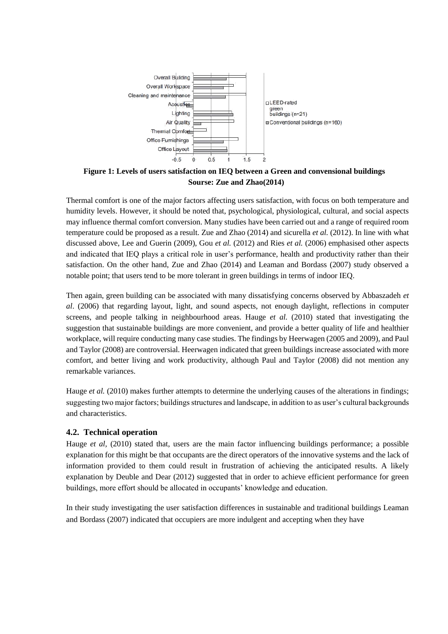

**Figure 1: Levels of users satisfaction on IEQ between a Green and convensional buildings Sourse: Zue and Zhao(2014)**

Thermal comfort is one of the major factors affecting users satisfaction, with focus on both temperature and humidity levels. However, it should be noted that, psychological, physiological, cultural, and social aspects may influence thermal comfort conversion. Many studies have been carried out and a range of required room temperature could be proposed as a result. Zue and Zhao (2014) and sicurella *et al.* (2012). In line with what discussed above, Lee and Guerin (2009), Gou *et al.* (2012) and Ries *et al.* (2006) emphasised other aspects and indicated that IEQ plays a critical role in user's performance, health and productivity rather than their satisfaction. On the other hand, Zue and Zhao (2014) and Leaman and Bordass (2007) study observed a notable point; that users tend to be more tolerant in green buildings in terms of indoor IEQ.

Then again, green building can be associated with many dissatisfying concerns observed by Abbaszadeh *et al*. (2006) that regarding layout, light, and sound aspects, not enough daylight, reflections in computer screens, and people talking in neighbourhood areas. Hauge *et al.* (2010) stated that investigating the suggestion that sustainable buildings are more convenient, and provide a better quality of life and healthier workplace, will require conducting many case studies. The findings by Heerwagen (2005 and 2009), and Paul and Taylor (2008) are controversial. Heerwagen indicated that green buildings increase associated with more comfort, and better living and work productivity, although Paul and Taylor (2008) did not mention any remarkable variances.

Hauge *et al.* (2010) makes further attempts to determine the underlying causes of the alterations in findings; suggesting two major factors; buildings structures and landscape, in addition to as user's cultural backgrounds and characteristics.

# **4.2. Technical operation**

Hauge *et al.* (2010) stated that, users are the main factor influencing buildings performance; a possible explanation for this might be that occupants are the direct operators of the innovative systems and the lack of information provided to them could result in frustration of achieving the anticipated results. A likely explanation by Deuble and Dear (2012) suggested that in order to achieve efficient performance for green buildings, more effort should be allocated in occupants' knowledge and education.

In their study investigating the user satisfaction differences in sustainable and traditional buildings Leaman and Bordass (2007) indicated that occupiers are more indulgent and accepting when they have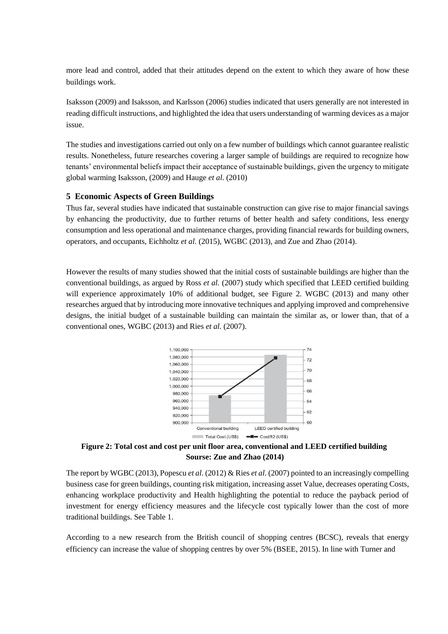more lead and control, added that their attitudes depend on the extent to which they aware of how these buildings work.

Isaksson (2009) and Isaksson, and Karlsson (2006) studies indicated that users generally are not interested in reading difficult instructions, and highlighted the idea that users understanding of warming devices as a major issue.

The studies and investigations carried out only on a few number of buildings which cannot guarantee realistic results. Nonetheless, future researches covering a larger sample of buildings are required to recognize how tenants' environmental beliefs impact their acceptance of sustainable buildings, given the urgency to mitigate global warming Isaksson, (2009) and Hauge *et al*. (2010)

#### **5 Economic Aspects of Green Buildings**

Thus far, several studies have indicated that sustainable construction can give rise to major financial savings by enhancing the productivity, due to further returns of better health and safety conditions, less energy consumption and less operational and maintenance charges, providing financial rewards for building owners, operators, and occupants, Eichholtz *et al.* (2015), WGBC (2013), and Zue and Zhao (2014).

However the results of many studies showed that the initial costs of sustainable buildings are higher than the conventional buildings, as argued by Ross *et al.* (2007) study which specified that LEED certified building will experience approximately 10% of additional budget, see Figure 2. WGBC (2013) and many other researches argued that by introducing more innovative techniques and applying improved and comprehensive designs, the initial budget of a sustainable building can maintain the similar as, or lower than, that of a conventional ones, WGBC (2013) and Ries *et al.* (2007).



**Figure 2: Total cost and cost per unit floor area, conventional and LEED certified building Sourse: Zue and Zhao (2014)**

The report by WGBC (2013), Popescu *et al*. (2012) & Ries *et al*. (2007) pointed to an increasingly compelling business case for green buildings, counting risk mitigation, increasing asset Value, decreases operating Costs, enhancing workplace productivity and Health highlighting the potential to reduce the payback period of investment for energy efficiency measures and the lifecycle cost typically lower than the cost of more traditional buildings. See Table 1.

According to a new research from the British council of shopping centres (BCSC), reveals that energy efficiency can increase the value of shopping centres by over 5% (BSEE, 2015). In line with Turner and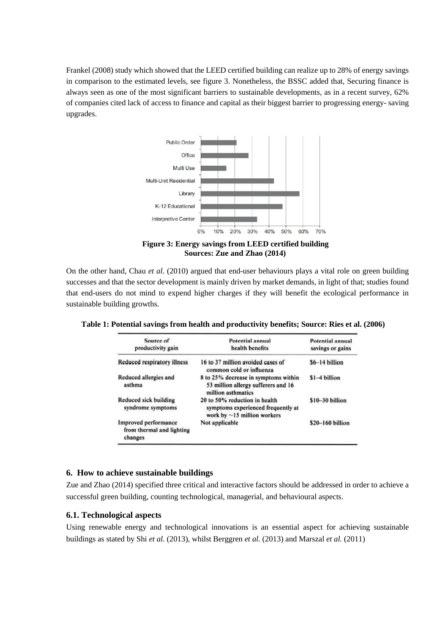Frankel (2008) study which showed that the LEED certified building can realize up to 28% of energy savings in comparison to the estimated levels, see figure 3. Nonetheless, the BSSC added that, Securing finance is always seen as one of the most significant barriers to sustainable developments, as in a recent survey, 62% of companies cited lack of access to finance and capital as their biggest barrier to progressing energy- saving upgrades.



**Figure 3: Energy savings from LEED certified building Sources: Zue and Zhao (2014)**

On the other hand, Chau *et al*. (2010) argued that end-user behaviours plays a vital role on green building successes and that the sector development is mainly driven by market demands, in light of that; studies found that end-users do not mind to expend higher charges if they will benefit the ecological performance in sustainable building growths.

| Source of<br>productivity gain                               | Potential annual<br>health benefits                                                                      | Potential annual<br>savings or gains |
|--------------------------------------------------------------|----------------------------------------------------------------------------------------------------------|--------------------------------------|
| Reduced respiratory illness                                  | 16 to 37 million avoided cases of<br>common cold or influenza                                            | $$6-14$ billion                      |
| Reduced allergies and<br>asthma                              | 8 to 25% decrease in symptoms within<br>53 million allergy sufferers and 16<br>million asthmatics        | $$1-4$ billion                       |
| Reduced sick building<br>syndrome symptoms                   | 20 to 50% reduction in health<br>symptoms experienced frequently at<br>work by $\sim$ 15 million workers | $$10-30 billion$                     |
| Improved performance<br>from thermal and lighting<br>changes | Not applicable                                                                                           | $$20-160$ billion                    |

**Table 1: Potential savings from health and productivity benefits; Source: Ries et al. (2006)**

#### **6. How to achieve sustainable buildings**

Zue and Zhao (2014) specified three critical and interactive factors should be addressed in order to achieve a successful green building, counting technological, managerial, and behavioural aspects.

#### **6.1. Technological aspects**

Using renewable energy and technological innovations is an essential aspect for achieving sustainable buildings as stated by Shi *et al.* (2013), whilst Berggren *et al.* (2013) and Marszal *et al.* (2011)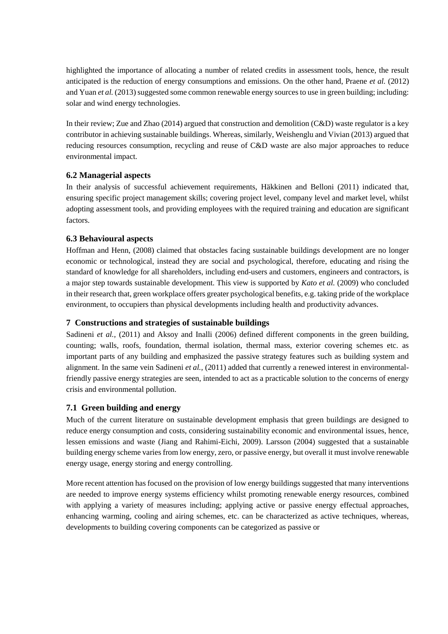highlighted the importance of allocating a number of related credits in assessment tools, hence, the result anticipated is the reduction of energy consumptions and emissions. On the other hand, Praene *et al.* (2012) and Yuan *et al.* (2013) suggested some common renewable energy sources to use in green building; including: solar and wind energy technologies.

In their review; Zue and Zhao (2014) argued that construction and demolition (C&D) waste regulator is a key contributor in achieving sustainable buildings. Whereas, similarly, Weishenglu and Vivian (2013) argued that reducing resources consumption, recycling and reuse of C&D waste are also major approaches to reduce environmental impact.

#### **6.2 Managerial aspects**

In their analysis of successful achievement requirements, Häkkinen and Belloni (2011) indicated that, ensuring specific project management skills; covering project level, company level and market level, whilst adopting assessment tools, and providing employees with the required training and education are significant factors.

#### **6.3 Behavioural aspects**

Hoffman and Henn, (2008) claimed that obstacles facing sustainable buildings development are no longer economic or technological, instead they are social and psychological, therefore, educating and rising the standard of knowledge for all shareholders, including end-users and customers, engineers and contractors, is a major step towards sustainable development. This view is supported by *Kato et al.* (2009) who concluded in their research that, green workplace offers greater psychological benefits, e.g. taking pride of the workplace environment, to occupiers than physical developments including health and productivity advances.

# **7 Constructions and strategies of sustainable buildings**

Sadineni *et al.*, (2011) and Aksoy and Inalli (2006) defined different components in the green building, counting; walls, roofs, foundation, thermal isolation, thermal mass, exterior covering schemes etc. as important parts of any building and emphasized the passive strategy features such as building system and alignment. In the same vein Sadineni *et al.,* (2011) added that currently a renewed interest in environmentalfriendly passive energy strategies are seen, intended to act as a practicable solution to the concerns of energy crisis and environmental pollution.

# **7.1 Green building and energy**

Much of the current literature on sustainable development emphasis that green buildings are designed to reduce energy consumption and costs, considering sustainability economic and environmental issues, hence, lessen emissions and waste (Jiang and Rahimi-Eichi, 2009). Larsson (2004) suggested that a sustainable building energy scheme varies from low energy, zero, or passive energy, but overall it must involve renewable energy usage, energy storing and energy controlling.

More recent attention has focused on the provision of low energy buildings suggested that many interventions are needed to improve energy systems efficiency whilst promoting renewable energy resources, combined with applying a variety of measures including; applying active or passive energy effectual approaches, enhancing warming, cooling and airing schemes, etc. can be characterized as active techniques, whereas, developments to building covering components can be categorized as passive or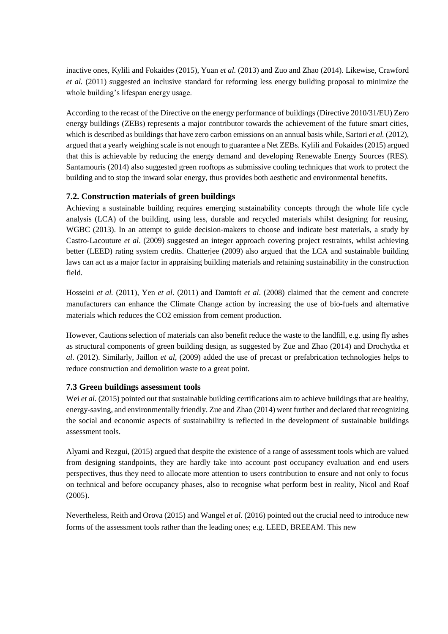inactive ones, Kylili and Fokaides (2015), Yuan *et al.* (2013) and Zuo and Zhao (2014). Likewise, Crawford *et al.* (2011) suggested an inclusive standard for reforming less energy building proposal to minimize the whole building's lifespan energy usage.

According to the recast of the Directive on the energy performance of buildings (Directive 2010/31/EU) Zero energy buildings (ZEBs) represents a major contributor towards the achievement of the future smart cities, which is described as buildings that have zero carbon emissions on an annual basis while, Sartori *et al.* (2012), argued that a yearly weighing scale is not enough to guarantee a Net ZEBs. Kylili and Fokaides (2015) argued that this is achievable by reducing the energy demand and developing Renewable Energy Sources (RES). Santamouris (2014) also suggested green rooftops as submissive cooling techniques that work to protect the building and to stop the inward solar energy, thus provides both aesthetic and environmental benefits.

#### **7.2. Construction materials of green buildings**

Achieving a sustainable building requires emerging sustainability concepts through the whole life cycle analysis (LCA) of the building, using less, durable and recycled materials whilst designing for reusing, WGBC (2013). In an attempt to guide decision-makers to choose and indicate best materials, a study by Castro-Lacouture *et al*. (2009) suggested an integer approach covering project restraints, whilst achieving better (LEED) rating system credits. Chatterjee (2009) also argued that the LCA and sustainable building laws can act as a major factor in appraising building materials and retaining sustainability in the construction field.

Hosseini *et al.* (2011), Yen *et al*. (2011) and Damtoft *et al*. (2008) claimed that the cement and concrete manufacturers can enhance the Climate Change action by increasing the use of bio-fuels and alternative materials which reduces the CO2 emission from cement production.

However, Cautions selection of materials can also benefit reduce the waste to the landfill, e.g. using fly ashes as structural components of green building design, as suggested by Zue and Zhao (2014) and Drochytka *et al*. (2012). Similarly, Jaillon *et al,* (2009) added the use of precast or prefabrication technologies helps to reduce construction and demolition waste to a great point.

# **7.3 Green buildings assessment tools**

Wei *et al.* (2015) pointed out that sustainable building certifications aim to achieve buildings that are healthy, energy-saving, and environmentally friendly. Zue and Zhao (2014) went further and declared that recognizing the social and economic aspects of sustainability is reflected in the development of sustainable buildings assessment tools.

Alyami and Rezgui, (2015) argued that despite the existence of a range of assessment tools which are valued from designing standpoints, they are hardly take into account post occupancy evaluation and end users perspectives, thus they need to allocate more attention to users contribution to ensure and not only to focus on technical and before occupancy phases, also to recognise what perform best in reality, Nicol and Roaf (2005).

Nevertheless, Reith and Orova (2015) and Wangel *et al.* (2016) pointed out the crucial need to introduce new forms of the assessment tools rather than the leading ones; e.g. LEED, BREEAM. This new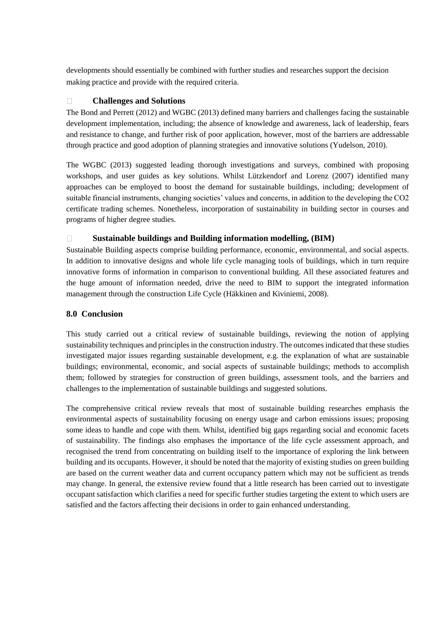developments should essentially be combined with further studies and researches support the decision making practice and provide with the required criteria.

#### $\Box$ **Challenges and Solutions**

The Bond and Perrett (2012) and WGBC (2013) defined many barriers and challenges facing the sustainable development implementation, including; the absence of knowledge and awareness, lack of leadership, fears and resistance to change, and further risk of poor application, however, most of the barriers are addressable through practice and good adoption of planning strategies and innovative solutions (Yudelson, 2010).

The WGBC (2013) suggested leading thorough investigations and surveys, combined with proposing workshops, and user guides as key solutions. Whilst Lützkendorf and Lorenz (2007) identified many approaches can be employed to boost the demand for sustainable buildings, including; development of suitable financial instruments, changing societies' values and concerns, in addition to the developing the CO2 certificate trading schemes. Nonetheless, incorporation of sustainability in building sector in courses and programs of higher degree studies.

#### **Sustainable buildings and Building information modelling, (BIM)**  $\Box$

Sustainable Building aspects comprise building performance, economic, environmental, and social aspects. In addition to innovative designs and whole life cycle managing tools of buildings, which in turn require innovative forms of information in comparison to conventional building. All these associated features and the huge amount of information needed, drive the need to BIM to support the integrated information management through the construction Life Cycle (Häkkinen and Kiviniemi, 2008).

# **8.0 Conclusion**

This study carried out a critical review of sustainable buildings, reviewing the notion of applying sustainability techniques and principles in the construction industry. The outcomes indicated that these studies investigated major issues regarding sustainable development, e.g. the explanation of what are sustainable buildings; environmental, economic, and social aspects of sustainable buildings; methods to accomplish them; followed by strategies for construction of green buildings, assessment tools, and the barriers and challenges to the implementation of sustainable buildings and suggested solutions.

The comprehensive critical review reveals that most of sustainable building researches emphasis the environmental aspects of sustainability focusing on energy usage and carbon emissions issues; proposing some ideas to handle and cope with them. Whilst, identified big gaps regarding social and economic facets of sustainability. The findings also emphases the importance of the life cycle assessment approach, and recognised the trend from concentrating on building itself to the importance of exploring the link between building and its occupants. However, it should be noted that the majority of existing studies on green building are based on the current weather data and current occupancy pattern which may not be sufficient as trends may change. In general, the extensive review found that a little research has been carried out to investigate occupant satisfaction which clarifies a need for specific further studies targeting the extent to which users are satisfied and the factors affecting their decisions in order to gain enhanced understanding.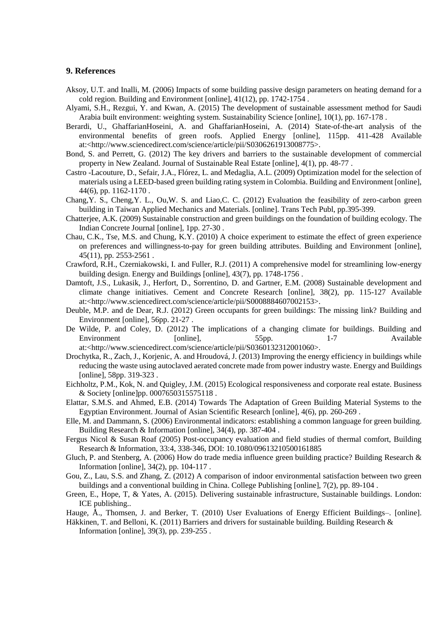#### **9. References**

- Aksoy, U.T. and Inalli, M. (2006) Impacts of some building passive design parameters on heating demand for a cold region. Building and Environment [online], 41(12), pp. 1742-1754 .
- Alyami, S.H., Rezgui, Y. and Kwan, A. (2015) The development of sustainable assessment method for Saudi Arabia built environment: weighting system. Sustainability Science [online], 10(1), pp. 167-178 .
- Berardi, U., GhaffarianHoseini, A. and GhaffarianHoseini, A. (2014) State-of-the-art analysis of the environmental benefits of green roofs. Applied Energy [online], 115pp. 411-428 Available at:<http://www.sciencedirect.com/science/article/pii/S0306261913008775>.
- Bond, S. and Perrett, G. (2012) The key drivers and barriers to the sustainable development of commercial property in New Zealand. Journal of Sustainable Real Estate [online], 4(1), pp. 48-77 .
- Castro -Lacouture, D., Sefair, J.A., Flórez, L. and Medaglia, A.L. (2009) Optimization model for the selection of materials using a LEED-based green building rating system in Colombia. Building and Environment [online], 44(6), pp. 1162-1170 .
- Chang,Y. S., Cheng,Y. L., Ou,W. S. and Liao,C. C. (2012) Evaluation the feasibility of zero-carbon green building in Taiwan Applied Mechanics and Materials. [online]. Trans Tech Publ, pp.395-399.
- Chatterjee, A.K. (2009) Sustainable construction and green buildings on the foundation of building ecology. The Indian Concrete Journal [online], 1pp. 27-30 .
- Chau, C.K., Tse, M.S. and Chung, K.Y. (2010) A choice experiment to estimate the effect of green experience on preferences and willingness-to-pay for green building attributes. Building and Environment [online], 45(11), pp. 2553-2561 .
- Crawford, R.H., Czerniakowski, I. and Fuller, R.J. (2011) A comprehensive model for streamlining low-energy building design. Energy and Buildings [online], 43(7), pp. 1748-1756 .
- Damtoft, J.S., Lukasik, J., Herfort, D., Sorrentino, D. and Gartner, E.M. (2008) Sustainable development and climate change initiatives. Cement and Concrete Research [online], 38(2), pp. 115-127 Available at:<http://www.sciencedirect.com/science/article/pii/S0008884607002153>.
- Deuble, M.P. and de Dear, R.J. (2012) Green occupants for green buildings: The missing link? Building and Environment [online], 56pp. 21-27 .
- De Wilde, P. and Coley, D. (2012) The implications of a changing climate for buildings. Building and Environment [online], 55pp. 1-7 Available at:<http://www.sciencedirect.com/science/article/pii/S0360132312001060>.
- Drochytka, R., Zach, J., Korjenic, A. and Hroudová, J. (2013) Improving the energy efficiency in buildings while reducing the waste using autoclaved aerated concrete made from power industry waste. Energy and Buildings [online], 58pp. 319-323 .
- Eichholtz, P.M., Kok, N. and Quigley, J.M. (2015) Ecological responsiveness and corporate real estate. Business & Society [online]pp. 0007650315575118 .
- Elattar, S.M.S. and Ahmed, E.B. (2014) Towards The Adaptation of Green Building Material Systems to the Egyptian Environment. Journal of Asian Scientific Research [online], 4(6), pp. 260-269 .
- Elle, M. and Dammann, S. (2006) Environmental indicators: establishing a common language for green building. Building Research & Information [online], 34(4), pp. 387-404 .
- Fergus Nicol & Susan Roaf (2005) Post-occupancy evaluation and field studies of thermal comfort, Building Research & Information, 33:4, 338-346, DOI: 10.1080/09613210500161885
- Gluch, P. and Stenberg, A. (2006) How do trade media influence green building practice? Building Research & Information [online], 34(2), pp. 104-117 .
- Gou, Z., Lau, S.S. and Zhang, Z. (2012) A comparison of indoor environmental satisfaction between two green buildings and a conventional building in China. College Publishing [online], 7(2), pp. 89-104 .
- Green, E., Hope, T, & Yates, A. (2015). Delivering sustainable infrastructure, Sustainable buildings. London: ICE publishing..
- Hauge, Å., Thomsen, J. and Berker, T. (2010) User Evaluations of Energy Efficient Buildings–. [online].
- Häkkinen, T. and Belloni, K. (2011) Barriers and drivers for sustainable building. Building Research & Information [online], 39(3), pp. 239-255 .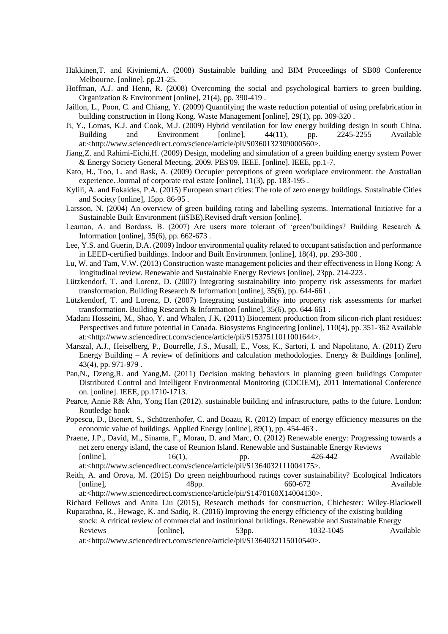- Häkkinen,T. and Kiviniemi,A. (2008) Sustainable building and BIM Proceedings of SB08 Conference Melbourne. [online]. pp.21-25.
- Hoffman, A.J. and Henn, R. (2008) Overcoming the social and psychological barriers to green building. Organization & Environment [online], 21(4), pp. 390-419 .
- Jaillon, L., Poon, C. and Chiang, Y. (2009) Quantifying the waste reduction potential of using prefabrication in building construction in Hong Kong. Waste Management [online], 29(1), pp. 309-320 .
- Ji, Y., Lomas, K.J. and Cook, M.J. (2009) Hybrid ventilation for low energy building design in south China. Building and Environment [online], 44(11), pp. 2245-2255 Available at:<http://www.sciencedirect.com/science/article/pii/S0360132309000560>.
- Jiang,Z. and Rahimi-Eichi,H. (2009) Design, modeling and simulation of a green building energy system Power & Energy Society General Meeting, 2009. PES'09. IEEE. [online]. IEEE, pp.1-7.
- Kato, H., Too, L. and Rask, A. (2009) Occupier perceptions of green workplace environment: the Australian experience. Journal of corporate real estate [online], 11(3), pp. 183-195 .
- Kylili, A. and Fokaides, P.A. (2015) European smart cities: The role of zero energy buildings. Sustainable Cities and Society [online], 15pp. 86-95 .
- Larsson, N. (2004) An overview of green building rating and labelling systems. International Initiative for a Sustainable Built Environment (iiSBE).Revised draft version [online].
- Leaman, A. and Bordass, B. (2007) Are users more tolerant of 'green'buildings? Building Research & Information [online], 35(6), pp. 662-673 .
- Lee, Y.S. and Guerin, D.A. (2009) Indoor environmental quality related to occupant satisfaction and performance in LEED-certified buildings. Indoor and Built Environment [online], 18(4), pp. 293-300 .
- Lu, W. and Tam, V.W. (2013) Construction waste management policies and their effectiveness in Hong Kong: A longitudinal review. Renewable and Sustainable Energy Reviews [online], 23pp. 214-223 .
- Lützkendorf, T. and Lorenz, D. (2007) Integrating sustainability into property risk assessments for market transformation. Building Research & Information [online], 35(6), pp. 644-661 .
- Lützkendorf, T. and Lorenz, D. (2007) Integrating sustainability into property risk assessments for market transformation. Building Research & Information [online], 35(6), pp. 644-661 .
- Madani Hosseini, M., Shao, Y. and Whalen, J.K. (2011) Biocement production from silicon-rich plant residues: Perspectives and future potential in Canada. Biosystems Engineering [online], 110(4), pp. 351-362 Available at:<http://www.sciencedirect.com/science/article/pii/S1537511011001644>.
- Marszal, A.J., Heiselberg, P., Bourrelle, J.S., Musall, E., Voss, K., Sartori, I. and Napolitano, A. (2011) Zero Energy Building – A review of definitions and calculation methodologies. Energy & Buildings [online], 43(4), pp. 971-979 .
- Pan,N., Dzeng,R. and Yang,M. (2011) Decision making behaviors in planning green buildings Computer Distributed Control and Intelligent Environmental Monitoring (CDCIEM), 2011 International Conference on. [online]. IEEE, pp.1710-1713.
- Pearce, Annie R& Ahn, Yong Han (2012). sustainable building and infrastructure, paths to the future. London: Routledge book
- Popescu, D., Bienert, S., Schützenhofer, C. and Boazu, R. (2012) Impact of energy efficiency measures on the economic value of buildings. Applied Energy [online], 89(1), pp. 454-463 .
- Praene, J.P., David, M., Sinama, F., Morau, D. and Marc, O. (2012) Renewable energy: Progressing towards a net zero energy island, the case of Reunion Island. Renewable and Sustainable Energy Reviews [online],  $16(1)$ , pp.  $426-442$  Available

at:<http://www.sciencedirect.com/science/article/pii/S1364032111004175>.

Reith, A. and Orova, M. (2015) Do green neighbourhood ratings cover sustainability? Ecological Indicators [online], 48pp. 660-672 Available at:<http://www.sciencedirect.com/science/article/pii/S1470160X14004130>.

Richard Fellows and Anita Liu (2015), Research methods for construction, Chichester: Wiley-Blackwell

Ruparathna, R., Hewage, K. and Sadiq, R. (2016) Improving the energy efficiency of the existing building stock: A critical review of commercial and institutional buildings. Renewable and Sustainable Energy Reviews [online], 53pp. 1032-1045 Available

at:<http://www.sciencedirect.com/science/article/pii/S1364032115010540>.